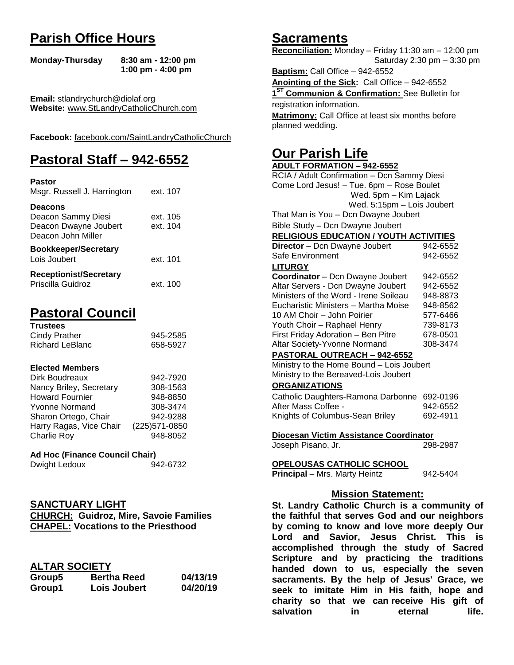# **Parish Office Hours**

```
Monday-Thursday 8:30 am - 12:00 pm
       1:00 pm - 4:00 pm
```
**Email:** stlandrychurch@diolaf.org **Website:** [www.StLandryCatholicChurch.com](http://www.stlandrycatholicchurch.com/)

**Facebook:** [facebook.com/SaintLandryCatholicChurch](http://facebook.com/SaintLandryCatholicChurch)

# **Pastoral Staff – 942-6552**

| <b>Pastor</b><br>Msgr. Russell J. Harrington                                        | ext. 107             |
|-------------------------------------------------------------------------------------|----------------------|
| <b>Deacons</b><br>Deacon Sammy Diesi<br>Deacon Dwayne Joubert<br>Deacon John Miller | ext. 105<br>ext. 104 |
| <b>Bookkeeper/Secretary</b><br>Lois Joubert                                         | ext. 101             |
| <b>Receptionist/Secretary</b><br>Priscilla Guidroz                                  | ext. 100             |

# **Pastoral Council**

| <b>Trustees</b> |          |
|-----------------|----------|
| Cindy Prather   | 945-2585 |
| Richard LeBlanc | 658-5927 |

### **Elected Members**

| Dirk Boudreaux          | 942-7920       |
|-------------------------|----------------|
| Nancy Briley, Secretary | 308-1563       |
| <b>Howard Fournier</b>  | 948-8850       |
| <b>Yvonne Normand</b>   | 308-3474       |
| Sharon Ortego, Chair    | 942-9288       |
| Harry Ragas, Vice Chair | (225) 571-0850 |
| <b>Charlie Roy</b>      | 948-8052       |

## **Ad Hoc (Finance Council Chair)**

## **SANCTUARY LIGHT**

**CHURCH: Guidroz, Mire, Savoie Families CHAPEL: Vocations to the Priesthood**

## **ALTAR SOCIETY**

| Group5 | <b>Bertha Reed</b> | 04/13/19 |
|--------|--------------------|----------|
| Group1 | Lois Joubert       | 04/20/19 |

# **Sacraments**

**Reconciliation:** Monday – Friday 11:30 am – 12:00 pm Saturday 2:30 pm – 3:30 pm

**Baptism:** Call Office – 942-6552 **Anointing of the Sick:** Call Office – 942-6552 **1 ST Communion & Confirmation:** See Bulletin for registration information. **Matrimony:** Call Office at least six months before planned wedding.

# **Our Parish Life**

| <b>ADULT FORMATION - 942-6552</b>                |          |
|--------------------------------------------------|----------|
| RCIA / Adult Confirmation - Dcn Sammy Diesi      |          |
| Come Lord Jesus! - Tue. 6pm - Rose Boulet        |          |
| Wed. 5pm - Kim Lajack                            |          |
| Wed. 5:15pm - Lois Joubert                       |          |
| That Man is You - Dcn Dwayne Joubert             |          |
| Bible Study - Dcn Dwayne Joubert                 |          |
| <b>RELIGIOUS EDUCATION / YOUTH ACTIVITIES</b>    |          |
| Director - Dcn Dwayne Joubert                    | 942-6552 |
| Safe Environment                                 | 942-6552 |
| <b>LITURGY</b>                                   |          |
| Coordinator - Dcn Dwayne Joubert                 | 942-6552 |
| Altar Servers - Dcn Dwayne Joubert               | 942-6552 |
| Ministers of the Word - Irene Soileau            | 948-8873 |
| Eucharistic Ministers - Martha Moise             | 948-8562 |
| 10 AM Choir - John Poirier                       | 577-6466 |
| Youth Choir - Raphael Henry                      | 739-8173 |
| First Friday Adoration - Ben Pitre               | 678-0501 |
| Altar Society-Yvonne Normand                     | 308-3474 |
| PASTORAL OUTREACH - 942-6552                     |          |
| Ministry to the Home Bound - Lois Joubert        |          |
| Ministry to the Bereaved-Lois Joubert            |          |
| <b>ORGANIZATIONS</b>                             |          |
| Catholic Daughters-Ramona Darbonne               | 692-0196 |
| After Mass Coffee -                              | 942-6552 |
| Knights of Columbus-Sean Briley                  | 692-4911 |
|                                                  |          |
| Diocesan Victim Assistance Coordinator           | 298-2987 |
| Joseph Pisano, Jr.                               |          |
| OPELOUSAS CATHOLIC SCHOOL                        |          |
| Principal - Mrs. Marty Heintz                    | 942-5404 |
| <b>Mission Statement:</b>                        |          |
| St. Landry Catholic Church is a communit         |          |
| $\sim$ $\sim$ $\sim$ $\sim$ $\sim$ $\sim$<br>. . |          |

**St. Landry Catholic Church is a community of the faithful that serves God and our neighbors by coming to know and love more deeply Our Lord and Savior, Jesus Christ. This is accomplished through the study of Sacred Scripture and by practicing the traditions handed down to us, especially the seven sacraments. By the help of Jesus' Grace, we seek to imitate Him in His faith, hope and charity so that we can receive His gift of salvation in** eternal life.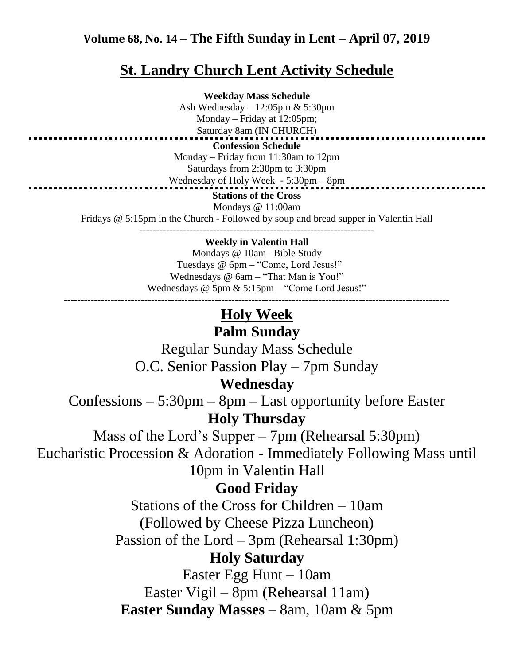## **Volume 68, No. 14 – The Fifth Sunday in Lent – April 07, 2019**

# **St. Landry Church Lent Activity Schedule**

**Weekday Mass Schedule** Ash Wednesday – 12:05pm & 5:30pm Monday – Friday at 12:05pm; Saturday 8am (IN CHURCH) **Confession Schedule** Monday – Friday from 11:30am to 12pm Saturdays from 2:30pm to 3:30pm Wednesday of Holy Week - 5:30pm – 8pm **Stations of the Cross** Mondays @ 11:00am Fridays @ 5:15pm in the Church - Followed by soup and bread supper in Valentin Hall ----------------------------------------------------------------------

#### **Weekly in Valentin Hall**

Mondays @ 10am– Bible Study Tuesdays @ 6pm – "Come, Lord Jesus!" Wednesdays @ 6am – "That Man is You!" Wednesdays @ 5pm & 5:15pm – "Come Lord Jesus!" -------------------------------------------------------------------------------------------------------------------

## **Holy Week**

## **Palm Sunday**

Regular Sunday Mass Schedule O.C. Senior Passion Play – 7pm Sunday

## **Wednesday**

Confessions – 5:30pm – 8pm – Last opportunity before Easter **Holy Thursday**

Mass of the Lord's Supper – 7pm (Rehearsal 5:30pm) Eucharistic Procession & Adoration - Immediately Following Mass until 10pm in Valentin Hall

# **Good Friday**

Stations of the Cross for Children – 10am (Followed by Cheese Pizza Luncheon)

Passion of the Lord – 3pm (Rehearsal 1:30pm)

## **Holy Saturday**

Easter Egg Hunt – 10am Easter Vigil – 8pm (Rehearsal 11am) **Easter Sunday Masses** – 8am, 10am & 5pm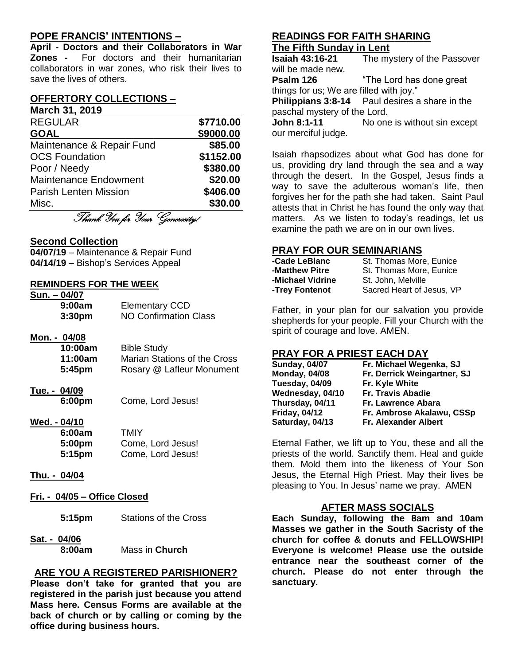## **POPE FRANCIS' INTENTIONS –**

**April - Doctors and their Collaborators in War Zones -** For doctors and their humanitarian collaborators in war zones, who risk their lives to save the lives of others.

#### **OFFERTORY COLLECTIONS – March 31, 2019**

| <b>REGULAR</b>               | \$7710.00 |
|------------------------------|-----------|
| <b>GOAL</b>                  | \$9000.00 |
| Maintenance & Repair Fund    | \$85.00   |
| <b>OCS Foundation</b>        | \$1152.00 |
| Poor / Needy                 | \$380.00  |
| Maintenance Endowment        | \$20.00   |
| <b>Parish Lenten Mission</b> | \$406.00  |
| Misc.                        | \$30.00   |
|                              |           |

Thank You for Your Generosity!

### **Second Collection**

**04/07/19** – Maintenance & Repair Fund **04/14/19** – Bishop's Services Appeal

#### **REMINDERS FOR THE WEEK**

| Sun. - 04/07       |                       |
|--------------------|-----------------------|
| 9:00am             | <b>Elementary CCD</b> |
| 3:30 <sub>pm</sub> | NO Confirmation Class |

#### **Mon. - 04/08**

| 10:00am | <b>Bible Study</b>           |
|---------|------------------------------|
| 11:00am | Marian Stations of the Cross |
| 5:45pm  | Rosary @ Lafleur Monument    |

## **Tue. - 04/09**

**6:00pm** Come, Lord Jesus!

#### **Wed. - 04/10**

| 6:00am | <b>TMIY</b>       |
|--------|-------------------|
| 5:00pm | Come, Lord Jesus! |
| 5:15pm | Come, Lord Jesus! |

#### **Thu. - 04/04**

**Fri. - 04/05 – Office Closed**

| <b>Stations of the Cross</b><br>5:15pm |
|----------------------------------------|
|----------------------------------------|

**Sat. - 04/06**

**8:00am** Mass in **Church**

### **ARE YOU A REGISTERED PARISHIONER?**

**Please don't take for granted that you are registered in the parish just because you attend Mass here. Census Forms are available at the back of church or by calling or coming by the office during business hours.**

### **READINGS FOR FAITH SHARING The Fifth Sunday in Lent**

**Isaiah 43:16-21** The mystery of the Passover will be made new.

**Psalm 126** "The Lord has done great things for us; We are filled with joy."

**Philippians 3:8-14** Paul desires a share in the paschal mystery of the Lord.

**John 8:1-11** No one is without sin except our merciful judge.

Isaiah rhapsodizes about what God has done for us, providing dry land through the sea and a way through the desert. In the Gospel, Jesus finds a way to save the adulterous woman's life, then forgives her for the path she had taken. Saint Paul attests that in Christ he has found the only way that matters. As we listen to today's readings, let us examine the path we are on in our own lives.

### **PRAY FOR OUR SEMINARIANS**

| -Cade LeBlanc    | St. Thomas More, Eunice   |
|------------------|---------------------------|
| -Matthew Pitre   | St. Thomas More, Eunice   |
| -Michael Vidrine | St. John, Melville        |
| -Trey Fontenot   | Sacred Heart of Jesus, VP |

Father, in your plan for our salvation you provide shepherds for your people. Fill your Church with the spirit of courage and love. AMEN.

### **PRAY FOR A PRIEST EACH DAY**

| Fr. Michael Wegenka, SJ     |
|-----------------------------|
| Fr. Derrick Weingartner, SJ |
| Fr. Kyle White              |
| Fr. Travis Abadie           |
| Fr. Lawrence Abara          |
| Fr. Ambrose Akalawu, CSSp   |
| <b>Fr. Alexander Albert</b> |
|                             |

Eternal Father, we lift up to You, these and all the priests of the world. Sanctify them. Heal and guide them. Mold them into the likeness of Your Son Jesus, the Eternal High Priest. May their lives be pleasing to You. In Jesus' name we pray. AMEN

### **AFTER MASS SOCIALS**

**Each Sunday, following the 8am and 10am Masses we gather in the South Sacristy of the church for coffee & donuts and FELLOWSHIP! Everyone is welcome! Please use the outside entrance near the southeast corner of the church. Please do not enter through the sanctuary.**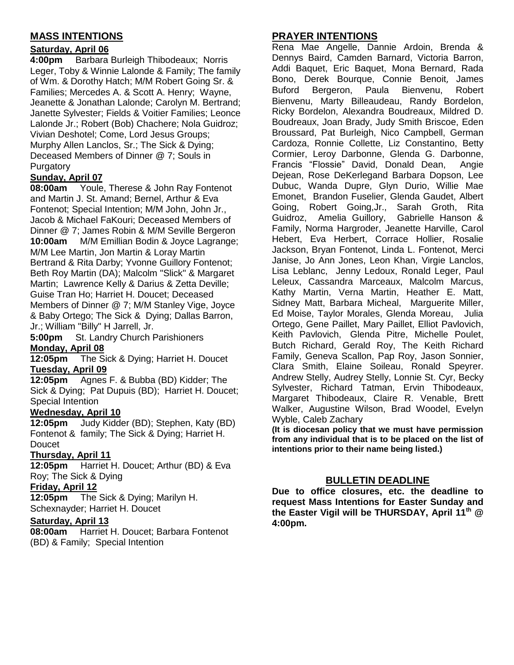## **MASS INTENTIONS**

## **Saturday, April 06**

**4:00pm** Barbara Burleigh Thibodeaux; Norris Leger, Toby & Winnie Lalonde & Family; The family of Wm. & Dorothy Hatch; M/M Robert Going Sr. & Families; Mercedes A. & Scott A. Henry; Wayne, Jeanette & Jonathan Lalonde; Carolyn M. Bertrand; Janette Sylvester; Fields & Voitier Families; Leonce Lalonde Jr.; Robert (Bob) Chachere; Nola Guidroz; Vivian Deshotel; Come, Lord Jesus Groups; Murphy Allen Lanclos, Sr.; The Sick & Dying; Deceased Members of Dinner @ 7; Souls in Purgatory

## **Sunday, April 07**

**08:00am** Youle, Therese & John Ray Fontenot and Martin J. St. Amand; Bernel, Arthur & Eva Fontenot; Special Intention; M/M John, John Jr., Jacob & Michael FaKouri; Deceased Members of Dinner @ 7; James Robin & M/M Seville Bergeron **10:00am** M/M Emillian Bodin & Joyce Lagrange; M/M Lee Martin, Jon Martin & Loray Martin Bertrand & Rita Darby; Yvonne Guillory Fontenot; Beth Roy Martin (DA); Malcolm "Slick" & Margaret Martin; Lawrence Kelly & Darius & Zetta Deville; Guise Tran Ho; Harriet H. Doucet; Deceased Members of Dinner @ 7; M/M Stanley Vige, Joyce & Baby Ortego; The Sick & Dying; Dallas Barron, Jr.; William "Billy" H Jarrell, Jr.

**5:00pm** St. Landry Church Parishioners **Monday, April 08**

**12:05pm** The Sick & Dying; Harriet H. Doucet **Tuesday, April 09**

**12:05pm** Agnes F. & Bubba (BD) Kidder; The Sick & Dying; Pat Dupuis (BD); Harriet H. Doucet; Special Intention

### **Wednesday, April 10**

**12:05pm** Judy Kidder (BD); Stephen, Katy (BD) Fontenot & family; The Sick & Dying; Harriet H. Doucet

## **Thursday, April 11**

**12:05pm** Harriet H. Doucet; Arthur (BD) & Eva Roy; The Sick & Dying

### **Friday, April 12**

**12:05pm** The Sick & Dying; Marilyn H. Schexnayder; Harriet H. Doucet

### **Saturday, April 13**

**08:00am** Harriet H. Doucet; Barbara Fontenot (BD) & Family; Special Intention

## **PRAYER INTENTIONS**

Rena Mae Angelle, Dannie Ardoin, Brenda & Dennys Baird, Camden Barnard, Victoria Barron, Addi Baquet, Eric Baquet, Mona Bernard, Rada Bono, Derek Bourque, Connie Benoit, James Buford Bergeron, Paula Bienvenu, Robert Bienvenu, Marty Billeaudeau, Randy Bordelon, Ricky Bordelon, Alexandra Boudreaux, Mildred D. Boudreaux, Joan Brady, Judy Smith Briscoe, Eden Broussard, Pat Burleigh, Nico Campbell, German Cardoza, Ronnie Collette, Liz Constantino, Betty Cormier, Leroy Darbonne, Glenda G. Darbonne, Francis "Flossie" David, Donald Dean, Angie Dejean, Rose DeKerlegand Barbara Dopson, Lee Dubuc, Wanda Dupre, Glyn Durio, Willie Mae Emonet, Brandon Fuselier, Glenda Gaudet, Albert Going, Robert Going,Jr., Sarah Groth, Rita Guidroz, Amelia Guillory, Gabrielle Hanson & Family, Norma Hargroder, Jeanette Harville, Carol Hebert, Eva Herbert, Corrace Hollier, Rosalie Jackson, Bryan Fontenot, Linda L. Fontenot, Merci Janise, Jo Ann Jones, Leon Khan, Virgie Lanclos, Lisa Leblanc, Jenny Ledoux, Ronald Leger, Paul Leleux, Cassandra Marceaux, Malcolm Marcus, Kathy Martin, Verna Martin, Heather E. Matt, Sidney Matt, Barbara Micheal, Marguerite Miller, Ed Moise, Taylor Morales, Glenda Moreau, Julia Ortego, Gene Paillet, Mary Paillet, Elliot Pavlovich, Keith Pavlovich, Glenda Pitre, Michelle Poulet, Butch Richard, Gerald Roy, The Keith Richard Family, Geneva Scallon, Pap Roy, Jason Sonnier, Clara Smith, Elaine Soileau, Ronald Speyrer. Andrew Stelly, Audrey Stelly, Lonnie St. Cyr, Becky Sylvester, Richard Tatman, Ervin Thibodeaux, Margaret Thibodeaux, Claire R. Venable, Brett Walker, Augustine Wilson, Brad Woodel, Evelyn Wyble, Caleb Zachary

**(It is diocesan policy that we must have permission from any individual that is to be placed on the list of intentions prior to their name being listed.)**

## **BULLETIN DEADLINE**

**Due to office closures, etc. the deadline to request Mass Intentions for Easter Sunday and the Easter Vigil will be THURSDAY, April 11th @ 4:00pm.**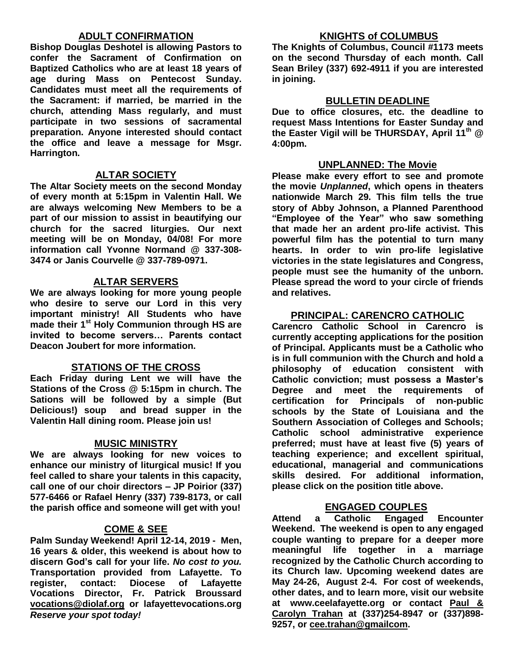## **ADULT CONFIRMATION**

**Bishop Douglas Deshotel is allowing Pastors to confer the Sacrament of Confirmation on Baptized Catholics who are at least 18 years of age during Mass on Pentecost Sunday. Candidates must meet all the requirements of the Sacrament: if married, be married in the church, attending Mass regularly, and must participate in two sessions of sacramental preparation. Anyone interested should contact the office and leave a message for Msgr. Harrington.** 

## **ALTAR SOCIETY**

**The Altar Society meets on the second Monday of every month at 5:15pm in Valentin Hall. We are always welcoming New Members to be a part of our mission to assist in beautifying our church for the sacred liturgies. Our next meeting will be on Monday, 04/08! For more information call Yvonne Normand @ 337-308- 3474 or Janis Courvelle @ 337-789-0971.** 

## **ALTAR SERVERS**

**We are always looking for more young people who desire to serve our Lord in this very important ministry! All Students who have made their 1st Holy Communion through HS are invited to become servers… Parents contact Deacon Joubert for more information.**

### **STATIONS OF THE CROSS**

**Each Friday during Lent we will have the Stations of the Cross @ 5:15pm in church. The Sations will be followed by a simple (But Delicious!) soup and bread supper in the Valentin Hall dining room. Please join us!**

### **MUSIC MINISTRY**

**We are always looking for new voices to enhance our ministry of liturgical music! If you feel called to share your talents in this capacity, call one of our choir directors – JP Poirior (337) 577-6466 or Rafael Henry (337) 739-8173, or call the parish office and someone will get with you!**

### **COME & SEE**

**Palm Sunday Weekend! April 12-14, 2019 - Men, 16 years & older, this weekend is about how to discern God's call for your life.** *No cost to you.*  **Transportation provided from Lafayette. To register, contact: Diocese of Lafayette Vocations Director, Fr. Patrick Broussard [vocations@diolaf.org](mailto:vocations@diolaf.org) or lafayettevocations.org**  *Reserve your spot today!*

## **KNIGHTS of COLUMBUS**

**The Knights of Columbus, Council #1173 meets on the second Thursday of each month. Call Sean Briley (337) 692-4911 if you are interested in joining.** 

### **BULLETIN DEADLINE**

**Due to office closures, etc. the deadline to request Mass Intentions for Easter Sunday and the Easter Vigil will be THURSDAY, April 11th @ 4:00pm.**

#### **UNPLANNED: The Movie**

**Please make every effort to see and promote the movie** *Unplanned***, which opens in theaters nationwide March 29. This film tells the true story of Abby Johnson, a Planned Parenthood "Employee of the Year" who saw something that made her an ardent pro-life activist. This powerful film has the potential to turn many hearts. In order to win pro-life legislative victories in the state legislatures and Congress, people must see the humanity of the unborn. Please spread the word to your circle of friends and relatives.**

## **PRINCIPAL: CARENCRO CATHOLIC**

**Carencro Catholic School in Carencro is currently accepting applications for the position of Principal. Applicants must be a Catholic who is in full communion with the Church and hold a philosophy of education consistent with Catholic conviction; must possess a Master's Degree and meet the requirements of certification for Principals of non-public schools by the State of Louisiana and the Southern Association of Colleges and Schools; Catholic school administrative experience preferred; must have at least five (5) years of teaching experience; and excellent spiritual, educational, managerial and communications skills desired. For additional information, please click on the position title above.**

## **ENGAGED COUPLES**

**Attend a Catholic Engaged Encounter Weekend. The weekend is open to any engaged couple wanting to prepare for a deeper more meaningful life together in a marriage recognized by the Catholic Church according to its Church law. Upcoming weekend dates are May 24-26, August 2-4. For cost of weekends, other dates, and to learn more, visit our website at www.ceelafayette.org or contact Paul & Carolyn Trahan at (337)254-8947 or (337)898- 9257, or [cee.trahan@gmailcom.](mailto:cee.trahan@gmailcom)**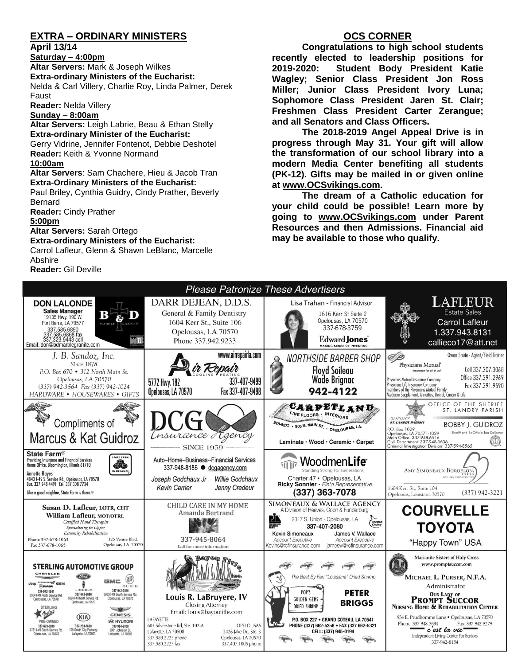## **EXTRA – ORDINARY MINISTERS**

#### **April 13/14**

**Saturday – 4:00pm** 

**Altar Servers:** Mark & Joseph Wilkes **Extra-ordinary Ministers of the Eucharist:**  Nelda & Carl Villery, Charlie Roy, Linda Palmer, Derek Faust

**Reader:** Nelda Villery

#### **Sunday – 8:00am**

**Altar Servers:** Leigh Labrie, Beau & Ethan Stelly **Extra-ordinary Minister of the Eucharist:** Gerry Vidrine, Jennifer Fontenot, Debbie Deshotel **Reader:** Keith & Yvonne Normand **10:00am**

**Altar Servers**: Sam Chachere, Hieu & Jacob Tran **Extra-Ordinary Ministers of the Eucharist:**

Paul Briley, Cynthia Guidry, Cindy Prather, Beverly Bernard

**Reader:** Cindy Prather

#### **5:00pm**

**Altar Servers:** Sarah Ortego

**Extra-ordinary Ministers of the Eucharist:**

Carrol Lafleur, Glenn & Shawn LeBlanc, Marcelle Abshire **Reader:** Gil Deville

## **OCS CORNER**

**Congratulations to high school students recently elected to leadership positions for 2019-2020: Student Body President Katie Wagley; Senior Class President Jon Ross Miller; Junior Class President Ivory Luna; Sophomore Class President Jaren St. Clair; Freshmen Class President Carter Zerangue; and all Senators and Class Officers.** 

**The 2018-2019 Angel Appeal Drive is in progress through May 31. Your gift will allow the transformation of our school library into a modern Media Center benefiting all students (PK-12). Gifts may be mailed in or given online at [www.OCSvikings.com.](http://www.ocsvikings.com/)** 

**The dream of a Catholic education for your child could be possible! Learn more by going to [www.OCSvikings.com](http://www.ocsvikings.com/) under Parent Resources and then Admissions. Financial aid may be available to those who qualify.**